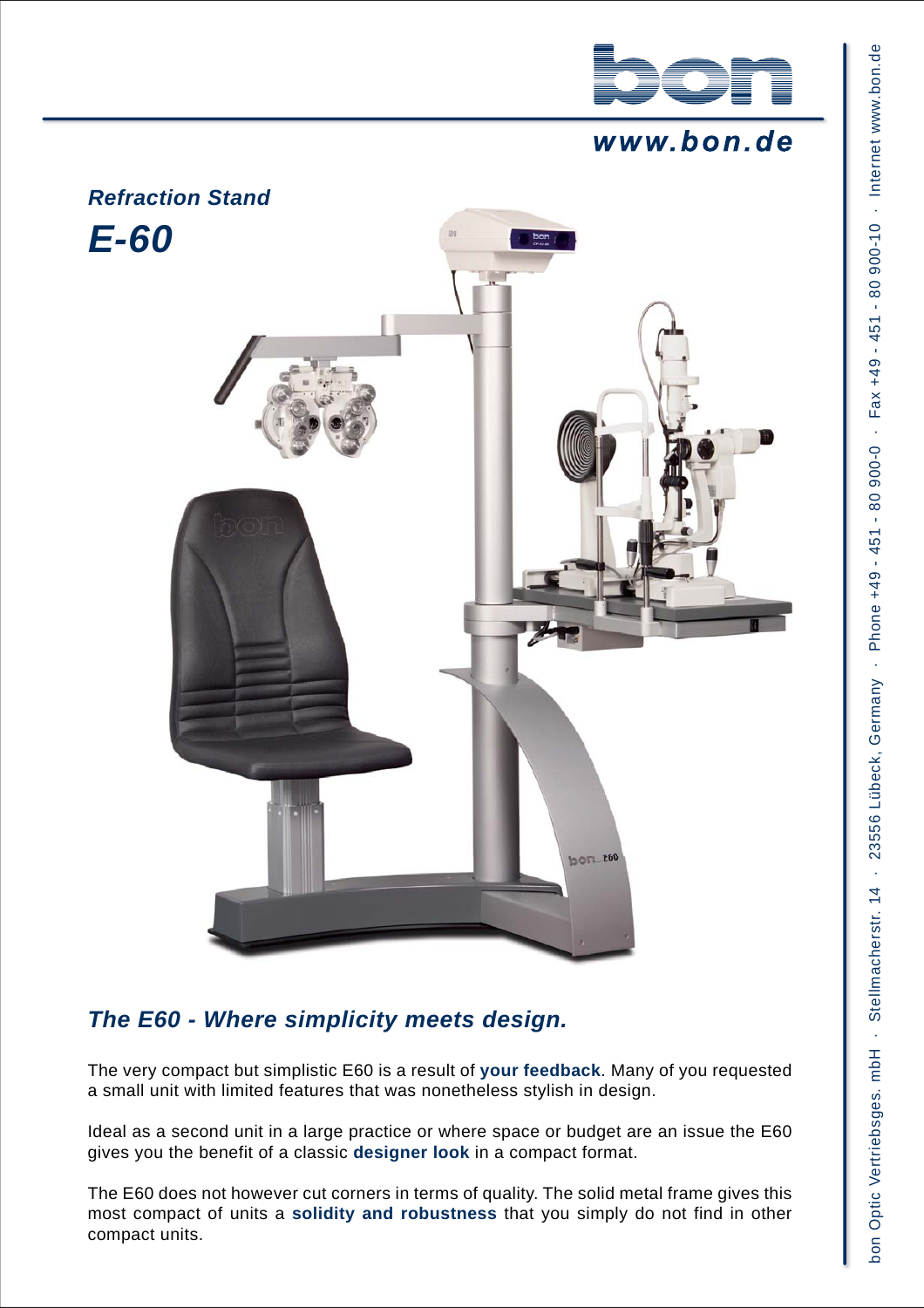

# www.bon.de



# *The E60 - Where simplicity meets design.*

The very compact but simplistic E60 is a result of **your feedback**. Many of you requested a small unit with limited features that was nonetheless stylish in design.

Ideal as a second unit in a large practice or where space or budget are an issue the E60 gives you the benefit of a classic **designer look** in a compact format.

The E60 does not however cut corners in terms of quality. The solid metal frame gives this most compact of units a **solidity and robustness** that you simply do not find in other compact units.